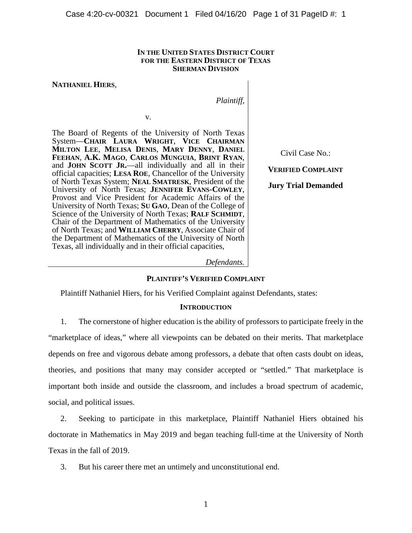### **IN THE UNITED STATES DISTRICT COURT FOR THE EASTERN DISTRICT OF TEXAS SHERMAN DIVISION**

## **NATHANIEL HIERS**,

*Plaintiff*,

v.

The Board of Regents of the University of North Texas System—**CHAIR LAURA WRIGHT**, **VICE CHAIRMAN MILTON LEE**, **MELISA DENIS**, **MARY DENNY**, **DANIEL FEEHAN**, **A.K. MAGO**, **CARLOS MUNGUIA**, **BRINT RYAN**, and **JOHN SCOTT JR.**—all individually and all in their official capacities; **LESA ROE**, Chancellor of the University of North Texas System; **NEAL SMATRESK**, President of the University of North Texas; **JENNIFER EVANS-COWLEY**, Provost and Vice President for Academic Affairs of the University of North Texas; **SU GAO**, Dean of the College of Science of the University of North Texas; **RALF SCHMIDT**, Chair of the Department of Mathematics of the University of North Texas; and **WILLIAM CHERRY**, Associate Chair of the Department of Mathematics of the University of North Texas, all individually and in their official capacities,

Civil Case No.:

**VERIFIED COMPLAINT**

**Jury Trial Demanded**

#### *Defendants.*

## **PLAINTIFF'S VERIFIED COMPLAINT**

Plaintiff Nathaniel Hiers, for his Verified Complaint against Defendants, states:

## **INTRODUCTION**

1. The cornerstone of higher education is the ability of professors to participate freely in the "marketplace of ideas," where all viewpoints can be debated on their merits. That marketplace depends on free and vigorous debate among professors, a debate that often casts doubt on ideas, theories, and positions that many may consider accepted or "settled." That marketplace is important both inside and outside the classroom, and includes a broad spectrum of academic, social, and political issues.

2. Seeking to participate in this marketplace, Plaintiff Nathaniel Hiers obtained his doctorate in Mathematics in May 2019 and began teaching full-time at the University of North Texas in the fall of 2019.

3. But his career there met an untimely and unconstitutional end.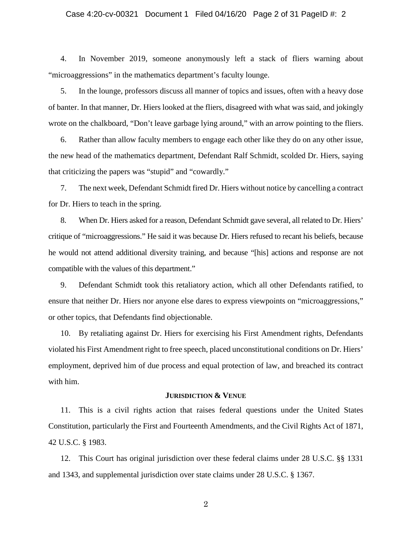## Case 4:20-cv-00321 Document 1 Filed 04/16/20 Page 2 of 31 PageID #: 2

4. In November 2019, someone anonymously left a stack of fliers warning about "microaggressions" in the mathematics department's faculty lounge.

5. In the lounge, professors discuss all manner of topics and issues, often with a heavy dose of banter. In that manner, Dr. Hiers looked at the fliers, disagreed with what was said, and jokingly wrote on the chalkboard, "Don't leave garbage lying around," with an arrow pointing to the fliers.

6. Rather than allow faculty members to engage each other like they do on any other issue, the new head of the mathematics department, Defendant Ralf Schmidt, scolded Dr. Hiers, saying that criticizing the papers was "stupid" and "cowardly."

7. The next week, Defendant Schmidt fired Dr. Hiers without notice by cancelling a contract for Dr. Hiers to teach in the spring.

8. When Dr. Hiers asked for a reason, Defendant Schmidt gave several, all related to Dr. Hiers' critique of "microaggressions." He said it was because Dr. Hiers refused to recant his beliefs, because he would not attend additional diversity training, and because "[his] actions and response are not compatible with the values of this department."

9. Defendant Schmidt took this retaliatory action, which all other Defendants ratified, to ensure that neither Dr. Hiers nor anyone else dares to express viewpoints on "microaggressions," or other topics, that Defendants find objectionable.

10. By retaliating against Dr. Hiers for exercising his First Amendment rights, Defendants violated his First Amendment right to free speech, placed unconstitutional conditions on Dr. Hiers' employment, deprived him of due process and equal protection of law, and breached its contract with him.

## **JURISDICTION & VENUE**

11. This is a civil rights action that raises federal questions under the United States Constitution, particularly the First and Fourteenth Amendments, and the Civil Rights Act of 1871, 42 U.S.C. § 1983.

12. This Court has original jurisdiction over these federal claims under 28 U.S.C. §§ 1331 and 1343, and supplemental jurisdiction over state claims under 28 U.S.C. § 1367.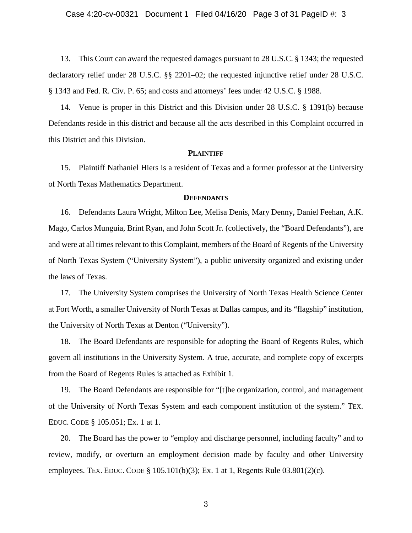13. This Court can award the requested damages pursuant to 28 U.S.C. § 1343; the requested declaratory relief under 28 U.S.C. §§ 2201–02; the requested injunctive relief under 28 U.S.C. § 1343 and Fed. R. Civ. P. 65; and costs and attorneys' fees under 42 U.S.C. § 1988.

14. Venue is proper in this District and this Division under 28 U.S.C. § 1391(b) because Defendants reside in this district and because all the acts described in this Complaint occurred in this District and this Division.

## **PLAINTIFF**

15. Plaintiff Nathaniel Hiers is a resident of Texas and a former professor at the University of North Texas Mathematics Department.

## **DEFENDANTS**

16. Defendants Laura Wright, Milton Lee, Melisa Denis, Mary Denny, Daniel Feehan, A.K. Mago, Carlos Munguia, Brint Ryan, and John Scott Jr. (collectively, the "Board Defendants"), are and were at all times relevant to this Complaint, members of the Board of Regents of the University of North Texas System ("University System"), a public university organized and existing under the laws of Texas.

17. The University System comprises the University of North Texas Health Science Center at Fort Worth, a smaller University of North Texas at Dallas campus, and its "flagship" institution, the University of North Texas at Denton ("University").

18. The Board Defendants are responsible for adopting the Board of Regents Rules, which govern all institutions in the University System. A true, accurate, and complete copy of excerpts from the Board of Regents Rules is attached as Exhibit 1.

19. The Board Defendants are responsible for "[t]he organization, control, and management of the University of North Texas System and each component institution of the system." TEX. EDUC. CODE § 105.051; Ex. 1 at 1.

20. The Board has the power to "employ and discharge personnel, including faculty" and to review, modify, or overturn an employment decision made by faculty and other University employees. TEX. EDUC. CODE § 105.101(b)(3); Ex. 1 at 1, Regents Rule  $03.801(2)$ (c).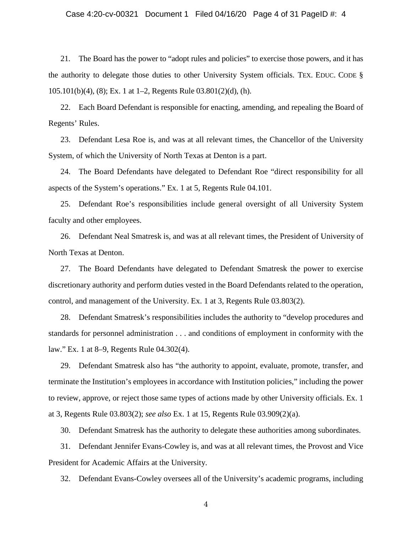## Case 4:20-cv-00321 Document 1 Filed 04/16/20 Page 4 of 31 PageID #: 4

21. The Board has the power to "adopt rules and policies" to exercise those powers, and it has the authority to delegate those duties to other University System officials. TEX. EDUC. CODE § 105.101(b)(4), (8); Ex. 1 at 1–2, Regents Rule 03.801(2)(d), (h).

22. Each Board Defendant is responsible for enacting, amending, and repealing the Board of Regents' Rules.

23. Defendant Lesa Roe is, and was at all relevant times, the Chancellor of the University System, of which the University of North Texas at Denton is a part.

24. The Board Defendants have delegated to Defendant Roe "direct responsibility for all aspects of the System's operations." Ex. 1 at 5, Regents Rule 04.101.

25. Defendant Roe's responsibilities include general oversight of all University System faculty and other employees.

26. Defendant Neal Smatresk is, and was at all relevant times, the President of University of North Texas at Denton.

27. The Board Defendants have delegated to Defendant Smatresk the power to exercise discretionary authority and perform duties vested in the Board Defendants related to the operation, control, and management of the University. Ex. 1 at 3, Regents Rule 03.803(2).

28. Defendant Smatresk's responsibilities includes the authority to "develop procedures and standards for personnel administration . . . and conditions of employment in conformity with the law." Ex. 1 at 8–9, Regents Rule 04.302(4).

29. Defendant Smatresk also has "the authority to appoint, evaluate, promote, transfer, and terminate the Institution's employees in accordance with Institution policies," including the power to review, approve, or reject those same types of actions made by other University officials. Ex. 1 at 3, Regents Rule 03.803(2); *see also* Ex. 1 at 15, Regents Rule 03.909(2)(a).

30. Defendant Smatresk has the authority to delegate these authorities among subordinates.

31. Defendant Jennifer Evans-Cowley is, and was at all relevant times, the Provost and Vice President for Academic Affairs at the University.

32. Defendant Evans-Cowley oversees all of the University's academic programs, including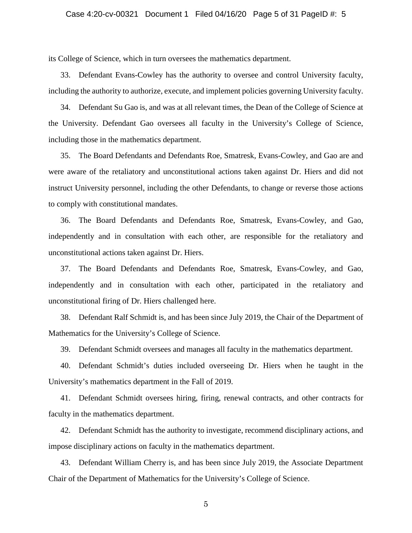its College of Science, which in turn oversees the mathematics department.

33. Defendant Evans-Cowley has the authority to oversee and control University faculty, including the authority to authorize, execute, and implement policies governing University faculty.

34. Defendant Su Gao is, and was at all relevant times, the Dean of the College of Science at the University. Defendant Gao oversees all faculty in the University's College of Science, including those in the mathematics department.

35. The Board Defendants and Defendants Roe, Smatresk, Evans-Cowley, and Gao are and were aware of the retaliatory and unconstitutional actions taken against Dr. Hiers and did not instruct University personnel, including the other Defendants, to change or reverse those actions to comply with constitutional mandates.

36. The Board Defendants and Defendants Roe, Smatresk, Evans-Cowley, and Gao, independently and in consultation with each other, are responsible for the retaliatory and unconstitutional actions taken against Dr. Hiers.

37. The Board Defendants and Defendants Roe, Smatresk, Evans-Cowley, and Gao, independently and in consultation with each other, participated in the retaliatory and unconstitutional firing of Dr. Hiers challenged here.

38. Defendant Ralf Schmidt is, and has been since July 2019, the Chair of the Department of Mathematics for the University's College of Science.

39. Defendant Schmidt oversees and manages all faculty in the mathematics department.

40. Defendant Schmidt's duties included overseeing Dr. Hiers when he taught in the University's mathematics department in the Fall of 2019.

41. Defendant Schmidt oversees hiring, firing, renewal contracts, and other contracts for faculty in the mathematics department.

42. Defendant Schmidt has the authority to investigate, recommend disciplinary actions, and impose disciplinary actions on faculty in the mathematics department.

43. Defendant William Cherry is, and has been since July 2019, the Associate Department Chair of the Department of Mathematics for the University's College of Science.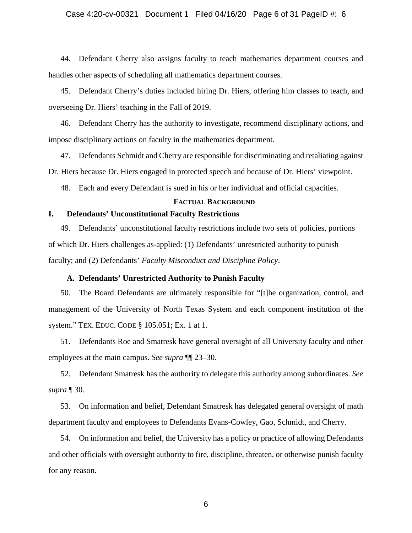## Case 4:20-cv-00321 Document 1 Filed 04/16/20 Page 6 of 31 PageID #: 6

44. Defendant Cherry also assigns faculty to teach mathematics department courses and handles other aspects of scheduling all mathematics department courses.

45. Defendant Cherry's duties included hiring Dr. Hiers, offering him classes to teach, and overseeing Dr. Hiers' teaching in the Fall of 2019.

46. Defendant Cherry has the authority to investigate, recommend disciplinary actions, and impose disciplinary actions on faculty in the mathematics department.

47. Defendants Schmidt and Cherry are responsible for discriminating and retaliating against Dr. Hiers because Dr. Hiers engaged in protected speech and because of Dr. Hiers' viewpoint.

48. Each and every Defendant is sued in his or her individual and official capacities.

### **FACTUAL BACKGROUND**

## **I. Defendants' Unconstitutional Faculty Restrictions**

49. Defendants' unconstitutional faculty restrictions include two sets of policies, portions of which Dr. Hiers challenges as-applied: (1) Defendants' unrestricted authority to punish faculty; and (2) Defendants' *Faculty Misconduct and Discipline Policy*.

## **A. Defendants' Unrestricted Authority to Punish Faculty**

50. The Board Defendants are ultimately responsible for "[t]he organization, control, and management of the University of North Texas System and each component institution of the system." TEX. EDUC. CODE § 105.051; Ex. 1 at 1.

51. Defendants Roe and Smatresk have general oversight of all University faculty and other employees at the main campus. *See supra* ¶¶ 23–30.

52. Defendant Smatresk has the authority to delegate this authority among subordinates. *See supra* ¶ 30.

53. On information and belief, Defendant Smatresk has delegated general oversight of math department faculty and employees to Defendants Evans-Cowley, Gao, Schmidt, and Cherry.

54. On information and belief, the University has a policy or practice of allowing Defendants and other officials with oversight authority to fire, discipline, threaten, or otherwise punish faculty for any reason.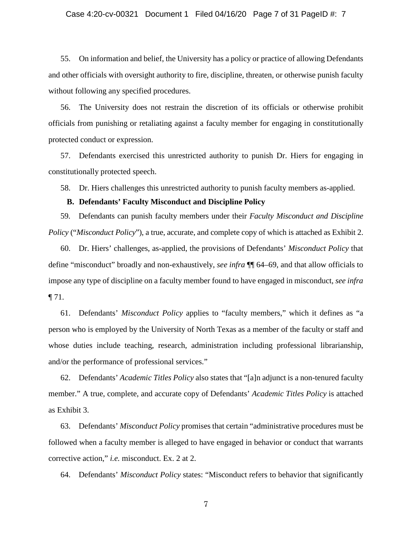## Case 4:20-cv-00321 Document 1 Filed 04/16/20 Page 7 of 31 PageID #: 7

55. On information and belief, the University has a policy or practice of allowing Defendants and other officials with oversight authority to fire, discipline, threaten, or otherwise punish faculty without following any specified procedures.

56. The University does not restrain the discretion of its officials or otherwise prohibit officials from punishing or retaliating against a faculty member for engaging in constitutionally protected conduct or expression.

57. Defendants exercised this unrestricted authority to punish Dr. Hiers for engaging in constitutionally protected speech.

58. Dr. Hiers challenges this unrestricted authority to punish faculty members as-applied.

## **B. Defendants' Faculty Misconduct and Discipline Policy**

59. Defendants can punish faculty members under their *Faculty Misconduct and Discipline Policy* ("*Misconduct Policy*"), a true, accurate, and complete copy of which is attached as Exhibit 2.

60. Dr. Hiers' challenges, as-applied, the provisions of Defendants' *Misconduct Policy* that define "misconduct" broadly and non-exhaustively, *see infra* ¶¶ 64–69, and that allow officials to impose any type of discipline on a faculty member found to have engaged in misconduct, *see infra* ¶ 71.

61. Defendants' *Misconduct Policy* applies to "faculty members," which it defines as "a person who is employed by the University of North Texas as a member of the faculty or staff and whose duties include teaching, research, administration including professional librarianship, and/or the performance of professional services."

62. Defendants' *Academic Titles Policy* also states that "[a]n adjunct is a non-tenured faculty member." A true, complete, and accurate copy of Defendants' *Academic Titles Policy* is attached as Exhibit 3.

63. Defendants' *Misconduct Policy* promises that certain "administrative procedures must be followed when a faculty member is alleged to have engaged in behavior or conduct that warrants corrective action," *i.e.* misconduct. Ex. 2 at 2.

64. Defendants' *Misconduct Policy* states: "Misconduct refers to behavior that significantly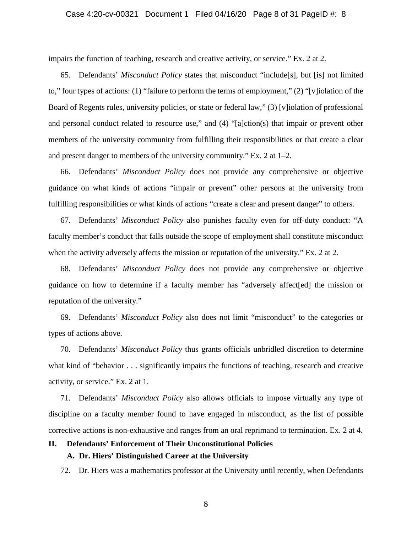impairs the function of teaching, research and creative activity, or service." Ex. 2 at 2.

65. Defendants' *Misconduct Policy* states that misconduct "include[s], but [is] not limited to," four types of actions: (1) "failure to perform the terms of employment," (2) "[v]iolation of the Board of Regents rules, university policies, or state or federal law," (3) [v]iolation of professional and personal conduct related to resource use," and (4) "[a]ction(s) that impair or prevent other members of the university community from fulfilling their responsibilities or that create a clear and present danger to members of the university community." Ex. 2 at 1–2.

66. Defendants' *Misconduct Policy* does not provide any comprehensive or objective guidance on what kinds of actions "impair or prevent" other persons at the university from fulfilling responsibilities or what kinds of actions "create a clear and present danger" to others.

67. Defendants' *Misconduct Policy* also punishes faculty even for off-duty conduct: "A faculty member's conduct that falls outside the scope of employment shall constitute misconduct when the activity adversely affects the mission or reputation of the university." Ex. 2 at 2.

68. Defendants' *Misconduct Policy* does not provide any comprehensive or objective guidance on how to determine if a faculty member has "adversely affect[ed] the mission or reputation of the university."

69. Defendants' *Misconduct Policy* also does not limit "misconduct" to the categories or types of actions above.

70. Defendants' *Misconduct Policy* thus grants officials unbridled discretion to determine what kind of "behavior . . . significantly impairs the functions of teaching, research and creative activity, or service." Ex. 2 at 1.

71. Defendants' *Misconduct Policy* also allows officials to impose virtually any type of discipline on a faculty member found to have engaged in misconduct, as the list of possible corrective actions is non-exhaustive and ranges from an oral reprimand to termination. Ex. 2 at 4.

# **II. Defendants' Enforcement of Their Unconstitutional Policies A. Dr. Hiers' Distinguished Career at the University**

72. Dr. Hiers was a mathematics professor at the University until recently, when Defendants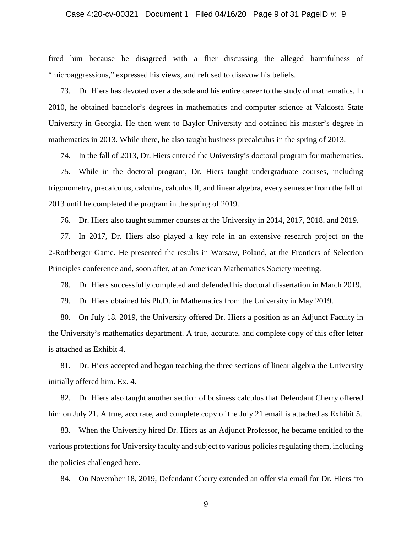## Case 4:20-cv-00321 Document 1 Filed 04/16/20 Page 9 of 31 PageID #: 9

fired him because he disagreed with a flier discussing the alleged harmfulness of "microaggressions," expressed his views, and refused to disavow his beliefs.

73. Dr. Hiers has devoted over a decade and his entire career to the study of mathematics. In 2010, he obtained bachelor's degrees in mathematics and computer science at Valdosta State University in Georgia. He then went to Baylor University and obtained his master's degree in mathematics in 2013. While there, he also taught business precalculus in the spring of 2013.

74. In the fall of 2013, Dr. Hiers entered the University's doctoral program for mathematics.

75. While in the doctoral program, Dr. Hiers taught undergraduate courses, including trigonometry, precalculus, calculus, calculus II, and linear algebra, every semester from the fall of 2013 until he completed the program in the spring of 2019.

76. Dr. Hiers also taught summer courses at the University in 2014, 2017, 2018, and 2019.

77. In 2017, Dr. Hiers also played a key role in an extensive research project on the 2-Rothberger Game. He presented the results in Warsaw, Poland, at the Frontiers of Selection Principles conference and, soon after, at an American Mathematics Society meeting.

78. Dr. Hiers successfully completed and defended his doctoral dissertation in March 2019.

79. Dr. Hiers obtained his Ph.D. in Mathematics from the University in May 2019.

80. On July 18, 2019, the University offered Dr. Hiers a position as an Adjunct Faculty in the University's mathematics department. A true, accurate, and complete copy of this offer letter is attached as Exhibit 4.

81. Dr. Hiers accepted and began teaching the three sections of linear algebra the University initially offered him. Ex. 4.

82. Dr. Hiers also taught another section of business calculus that Defendant Cherry offered him on July 21. A true, accurate, and complete copy of the July 21 email is attached as Exhibit 5.

83. When the University hired Dr. Hiers as an Adjunct Professor, he became entitled to the various protections for University faculty and subject to various policies regulating them, including the policies challenged here.

84. On November 18, 2019, Defendant Cherry extended an offer via email for Dr. Hiers "to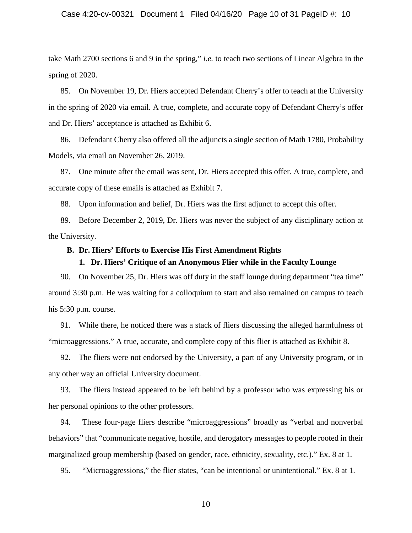## Case 4:20-cv-00321 Document 1 Filed 04/16/20 Page 10 of 31 PageID #: 10

take Math 2700 sections 6 and 9 in the spring," *i.e.* to teach two sections of Linear Algebra in the spring of 2020.

85. On November 19, Dr. Hiers accepted Defendant Cherry's offer to teach at the University in the spring of 2020 via email. A true, complete, and accurate copy of Defendant Cherry's offer and Dr. Hiers' acceptance is attached as Exhibit 6.

86. Defendant Cherry also offered all the adjuncts a single section of Math 1780, Probability Models, via email on November 26, 2019.

87. One minute after the email was sent, Dr. Hiers accepted this offer. A true, complete, and accurate copy of these emails is attached as Exhibit 7.

88. Upon information and belief, Dr. Hiers was the first adjunct to accept this offer.

89. Before December 2, 2019, Dr. Hiers was never the subject of any disciplinary action at the University.

#### **B. Dr. Hiers' Efforts to Exercise His First Amendment Rights**

## **1. Dr. Hiers' Critique of an Anonymous Flier while in the Faculty Lounge**

90. On November 25, Dr. Hiers was off duty in the staff lounge during department "tea time" around 3:30 p.m. He was waiting for a colloquium to start and also remained on campus to teach his 5:30 p.m. course.

91. While there, he noticed there was a stack of fliers discussing the alleged harmfulness of "microaggressions." A true, accurate, and complete copy of this flier is attached as Exhibit 8.

92. The fliers were not endorsed by the University, a part of any University program, or in any other way an official University document.

93. The fliers instead appeared to be left behind by a professor who was expressing his or her personal opinions to the other professors.

94. These four-page fliers describe "microaggressions" broadly as "verbal and nonverbal behaviors" that "communicate negative, hostile, and derogatory messages to people rooted in their marginalized group membership (based on gender, race, ethnicity, sexuality, etc.)." Ex. 8 at 1.

95. "Microaggressions," the flier states, "can be intentional or unintentional." Ex. 8 at 1.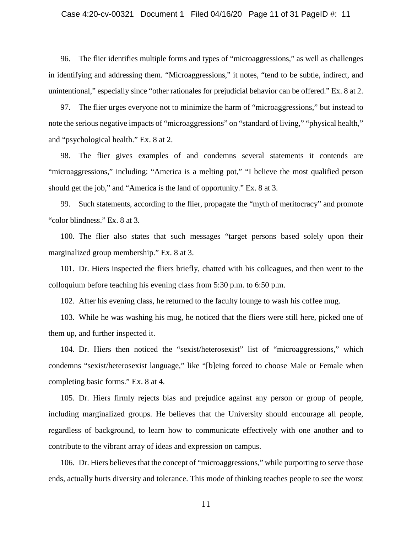## Case 4:20-cv-00321 Document 1 Filed 04/16/20 Page 11 of 31 PageID #: 11

96. The flier identifies multiple forms and types of "microaggressions," as well as challenges in identifying and addressing them. "Microaggressions," it notes, "tend to be subtle, indirect, and unintentional," especially since "other rationales for prejudicial behavior can be offered." Ex. 8 at 2.

97. The flier urges everyone not to minimize the harm of "microaggressions," but instead to note the serious negative impacts of "microaggressions" on "standard of living," "physical health," and "psychological health." Ex. 8 at 2.

98. The flier gives examples of and condemns several statements it contends are "microaggressions," including: "America is a melting pot," "I believe the most qualified person should get the job," and "America is the land of opportunity." Ex. 8 at 3.

99. Such statements, according to the flier, propagate the "myth of meritocracy" and promote "color blindness." Ex. 8 at 3.

100. The flier also states that such messages "target persons based solely upon their marginalized group membership." Ex. 8 at 3.

101. Dr. Hiers inspected the fliers briefly, chatted with his colleagues, and then went to the colloquium before teaching his evening class from 5:30 p.m. to 6:50 p.m.

102. After his evening class, he returned to the faculty lounge to wash his coffee mug.

103. While he was washing his mug, he noticed that the fliers were still here, picked one of them up, and further inspected it.

104. Dr. Hiers then noticed the "sexist/heterosexist" list of "microaggressions," which condemns "sexist/heterosexist language," like "[b]eing forced to choose Male or Female when completing basic forms." Ex. 8 at 4.

105. Dr. Hiers firmly rejects bias and prejudice against any person or group of people, including marginalized groups. He believes that the University should encourage all people, regardless of background, to learn how to communicate effectively with one another and to contribute to the vibrant array of ideas and expression on campus.

106. Dr. Hiers believes that the concept of "microaggressions," while purporting to serve those ends, actually hurts diversity and tolerance. This mode of thinking teaches people to see the worst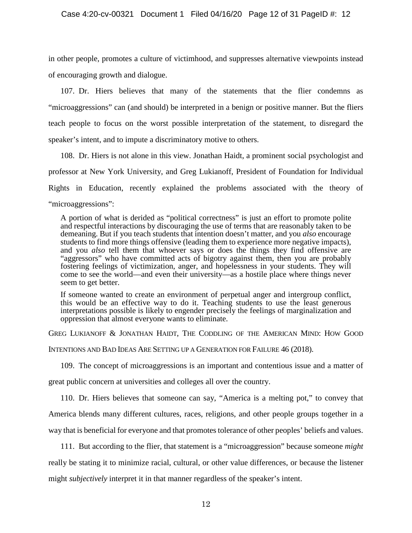in other people, promotes a culture of victimhood, and suppresses alternative viewpoints instead of encouraging growth and dialogue.

107. Dr. Hiers believes that many of the statements that the flier condemns as "microaggressions" can (and should) be interpreted in a benign or positive manner. But the fliers teach people to focus on the worst possible interpretation of the statement, to disregard the speaker's intent, and to impute a discriminatory motive to others.

108. Dr. Hiers is not alone in this view. Jonathan Haidt, a prominent social psychologist and professor at New York University, and Greg Lukianoff, President of Foundation for Individual Rights in Education, recently explained the problems associated with the theory of "microaggressions":

A portion of what is derided as "political correctness" is just an effort to promote polite and respectful interactions by discouraging the use of terms that are reasonably taken to be demeaning. But if you teach students that intention doesn't matter, and you *also* encourage students to find more things offensive (leading them to experience more negative impacts), and you *also* tell them that whoever says or does the things they find offensive are "aggressors" who have committed acts of bigotry against them, then you are probably fostering feelings of victimization, anger, and hopelessness in your students. They will come to see the world—and even their university—as a hostile place where things never seem to get better.

If someone wanted to create an environment of perpetual anger and intergroup conflict, this would be an effective way to do it. Teaching students to use the least generous interpretations possible is likely to engender precisely the feelings of marginalization and oppression that almost everyone wants to eliminate.

GREG LUKIANOFF & JONATHAN HAIDT, THE CODDLING OF THE AMERICAN MIND: HOW GOOD

INTENTIONS AND BAD IDEAS ARE SETTING UP A GENERATION FOR FAILURE 46 (2018).

109. The concept of microaggressions is an important and contentious issue and a matter of

great public concern at universities and colleges all over the country.

110. Dr. Hiers believes that someone can say, "America is a melting pot," to convey that America blends many different cultures, races, religions, and other people groups together in a way that is beneficial for everyone and that promotes tolerance of other peoples' beliefs and values.

111. But according to the flier, that statement is a "microaggression" because someone *might* really be stating it to minimize racial, cultural, or other value differences, or because the listener might *subjectively* interpret it in that manner regardless of the speaker's intent.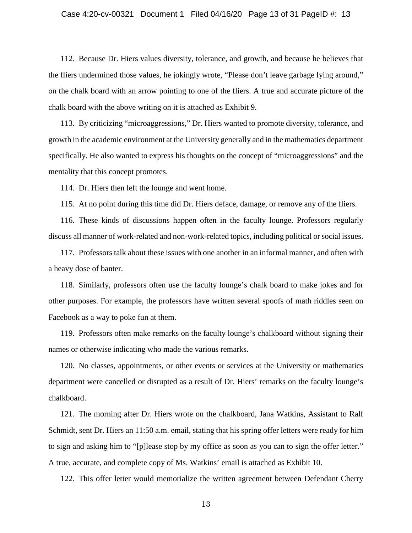## Case 4:20-cv-00321 Document 1 Filed 04/16/20 Page 13 of 31 PageID #: 13

112. Because Dr. Hiers values diversity, tolerance, and growth, and because he believes that the fliers undermined those values, he jokingly wrote, "Please don't leave garbage lying around," on the chalk board with an arrow pointing to one of the fliers. A true and accurate picture of the chalk board with the above writing on it is attached as Exhibit 9.

113. By criticizing "microaggressions," Dr. Hiers wanted to promote diversity, tolerance, and growth in the academic environment at the University generally and in the mathematics department specifically. He also wanted to express his thoughts on the concept of "microaggressions" and the mentality that this concept promotes.

114. Dr. Hiers then left the lounge and went home.

115. At no point during this time did Dr. Hiers deface, damage, or remove any of the fliers.

116. These kinds of discussions happen often in the faculty lounge. Professors regularly discuss all manner of work-related and non-work-related topics, including political or social issues.

117. Professors talk about these issues with one another in an informal manner, and often with a heavy dose of banter.

118. Similarly, professors often use the faculty lounge's chalk board to make jokes and for other purposes. For example, the professors have written several spoofs of math riddles seen on Facebook as a way to poke fun at them.

119. Professors often make remarks on the faculty lounge's chalkboard without signing their names or otherwise indicating who made the various remarks.

120. No classes, appointments, or other events or services at the University or mathematics department were cancelled or disrupted as a result of Dr. Hiers' remarks on the faculty lounge's chalkboard.

121. The morning after Dr. Hiers wrote on the chalkboard, Jana Watkins, Assistant to Ralf Schmidt, sent Dr. Hiers an 11:50 a.m. email, stating that his spring offer letters were ready for him to sign and asking him to "[p]lease stop by my office as soon as you can to sign the offer letter." A true, accurate, and complete copy of Ms. Watkins' email is attached as Exhibit 10.

122. This offer letter would memorialize the written agreement between Defendant Cherry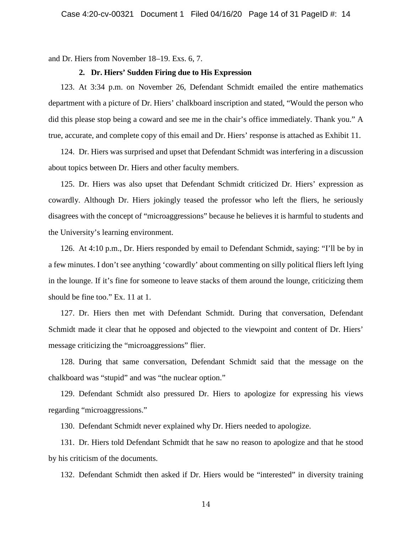and Dr. Hiers from November 18–19. Exs. 6, 7.

#### **2. Dr. Hiers' Sudden Firing due to His Expression**

123. At 3:34 p.m. on November 26, Defendant Schmidt emailed the entire mathematics department with a picture of Dr. Hiers' chalkboard inscription and stated, "Would the person who did this please stop being a coward and see me in the chair's office immediately. Thank you." A true, accurate, and complete copy of this email and Dr. Hiers' response is attached as Exhibit 11.

124. Dr. Hiers was surprised and upset that Defendant Schmidt was interfering in a discussion about topics between Dr. Hiers and other faculty members.

125. Dr. Hiers was also upset that Defendant Schmidt criticized Dr. Hiers' expression as cowardly. Although Dr. Hiers jokingly teased the professor who left the fliers, he seriously disagrees with the concept of "microaggressions" because he believes it is harmful to students and the University's learning environment.

126. At 4:10 p.m., Dr. Hiers responded by email to Defendant Schmidt, saying: "I'll be by in a few minutes. I don't see anything 'cowardly' about commenting on silly political fliers left lying in the lounge. If it's fine for someone to leave stacks of them around the lounge, criticizing them should be fine too." Ex. 11 at 1.

127. Dr. Hiers then met with Defendant Schmidt. During that conversation, Defendant Schmidt made it clear that he opposed and objected to the viewpoint and content of Dr. Hiers' message criticizing the "microaggressions" flier.

128. During that same conversation, Defendant Schmidt said that the message on the chalkboard was "stupid" and was "the nuclear option."

129. Defendant Schmidt also pressured Dr. Hiers to apologize for expressing his views regarding "microaggressions."

130. Defendant Schmidt never explained why Dr. Hiers needed to apologize.

131. Dr. Hiers told Defendant Schmidt that he saw no reason to apologize and that he stood by his criticism of the documents.

132. Defendant Schmidt then asked if Dr. Hiers would be "interested" in diversity training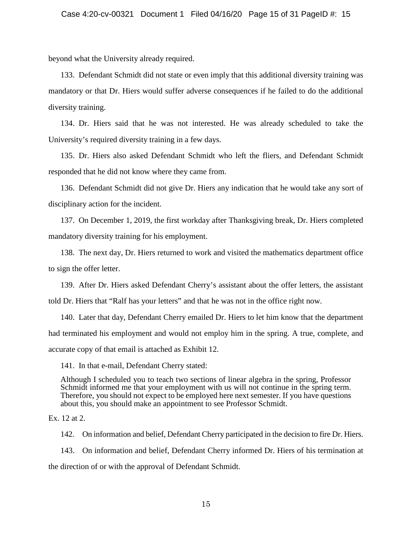beyond what the University already required.

133. Defendant Schmidt did not state or even imply that this additional diversity training was mandatory or that Dr. Hiers would suffer adverse consequences if he failed to do the additional diversity training.

134. Dr. Hiers said that he was not interested. He was already scheduled to take the University's required diversity training in a few days.

135. Dr. Hiers also asked Defendant Schmidt who left the fliers, and Defendant Schmidt responded that he did not know where they came from.

136. Defendant Schmidt did not give Dr. Hiers any indication that he would take any sort of disciplinary action for the incident.

137. On December 1, 2019, the first workday after Thanksgiving break, Dr. Hiers completed mandatory diversity training for his employment.

138. The next day, Dr. Hiers returned to work and visited the mathematics department office to sign the offer letter.

139. After Dr. Hiers asked Defendant Cherry's assistant about the offer letters, the assistant told Dr. Hiers that "Ralf has your letters" and that he was not in the office right now.

140. Later that day, Defendant Cherry emailed Dr. Hiers to let him know that the department had terminated his employment and would not employ him in the spring. A true, complete, and accurate copy of that email is attached as Exhibit 12.

141. In that e-mail, Defendant Cherry stated:

Although I scheduled you to teach two sections of linear algebra in the spring, Professor Schmidt informed me that your employment with us will not continue in the spring term. Therefore, you should not expect to be employed here next semester. If you have questions about this, you should make an appointment to see Professor Schmidt.

Ex. 12 at 2.

142. On information and belief, Defendant Cherry participated in the decision to fire Dr. Hiers. 143. On information and belief, Defendant Cherry informed Dr. Hiers of his termination at the direction of or with the approval of Defendant Schmidt.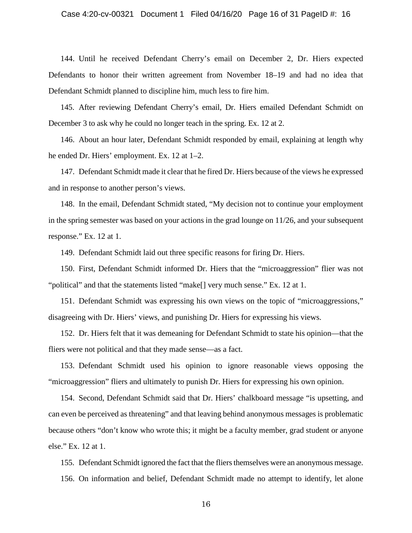144. Until he received Defendant Cherry's email on December 2, Dr. Hiers expected Defendants to honor their written agreement from November 18–19 and had no idea that Defendant Schmidt planned to discipline him, much less to fire him.

145. After reviewing Defendant Cherry's email, Dr. Hiers emailed Defendant Schmidt on December 3 to ask why he could no longer teach in the spring. Ex. 12 at 2.

146. About an hour later, Defendant Schmidt responded by email, explaining at length why he ended Dr. Hiers' employment. Ex. 12 at 1–2.

147. Defendant Schmidt made it clear that he fired Dr. Hiers because of the views he expressed and in response to another person's views.

148. In the email, Defendant Schmidt stated, "My decision not to continue your employment in the spring semester was based on your actions in the grad lounge on 11/26, and your subsequent response." Ex. 12 at 1.

149. Defendant Schmidt laid out three specific reasons for firing Dr. Hiers.

150. First, Defendant Schmidt informed Dr. Hiers that the "microaggression" flier was not "political" and that the statements listed "make[] very much sense." Ex. 12 at 1.

151. Defendant Schmidt was expressing his own views on the topic of "microaggressions," disagreeing with Dr. Hiers' views, and punishing Dr. Hiers for expressing his views.

152. Dr. Hiers felt that it was demeaning for Defendant Schmidt to state his opinion—that the fliers were not political and that they made sense—as a fact.

153. Defendant Schmidt used his opinion to ignore reasonable views opposing the "microaggression" fliers and ultimately to punish Dr. Hiers for expressing his own opinion.

154. Second, Defendant Schmidt said that Dr. Hiers' chalkboard message "is upsetting, and can even be perceived as threatening" and that leaving behind anonymous messages is problematic because others "don't know who wrote this; it might be a faculty member, grad student or anyone else." Ex. 12 at 1.

155. Defendant Schmidt ignored the fact that the fliers themselves were an anonymous message. 156. On information and belief, Defendant Schmidt made no attempt to identify, let alone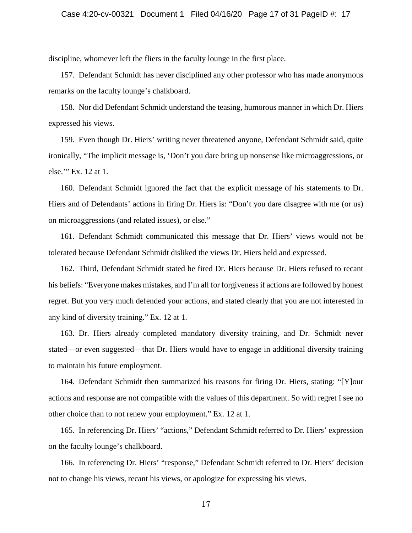discipline, whomever left the fliers in the faculty lounge in the first place.

157. Defendant Schmidt has never disciplined any other professor who has made anonymous remarks on the faculty lounge's chalkboard.

158. Nor did Defendant Schmidt understand the teasing, humorous manner in which Dr. Hiers expressed his views.

159. Even though Dr. Hiers' writing never threatened anyone, Defendant Schmidt said, quite ironically, "The implicit message is, 'Don't you dare bring up nonsense like microaggressions, or else.'" Ex. 12 at 1.

160. Defendant Schmidt ignored the fact that the explicit message of his statements to Dr. Hiers and of Defendants' actions in firing Dr. Hiers is: "Don't you dare disagree with me (or us) on microaggressions (and related issues), or else."

161. Defendant Schmidt communicated this message that Dr. Hiers' views would not be tolerated because Defendant Schmidt disliked the views Dr. Hiers held and expressed.

162. Third, Defendant Schmidt stated he fired Dr. Hiers because Dr. Hiers refused to recant his beliefs: "Everyone makes mistakes, and I'm all for forgiveness if actions are followed by honest regret. But you very much defended your actions, and stated clearly that you are not interested in any kind of diversity training." Ex. 12 at 1.

163. Dr. Hiers already completed mandatory diversity training, and Dr. Schmidt never stated—or even suggested—that Dr. Hiers would have to engage in additional diversity training to maintain his future employment.

164. Defendant Schmidt then summarized his reasons for firing Dr. Hiers, stating: "[Y]our actions and response are not compatible with the values of this department. So with regret I see no other choice than to not renew your employment." Ex. 12 at 1.

165. In referencing Dr. Hiers' "actions," Defendant Schmidt referred to Dr. Hiers' expression on the faculty lounge's chalkboard.

166. In referencing Dr. Hiers' "response," Defendant Schmidt referred to Dr. Hiers' decision not to change his views, recant his views, or apologize for expressing his views.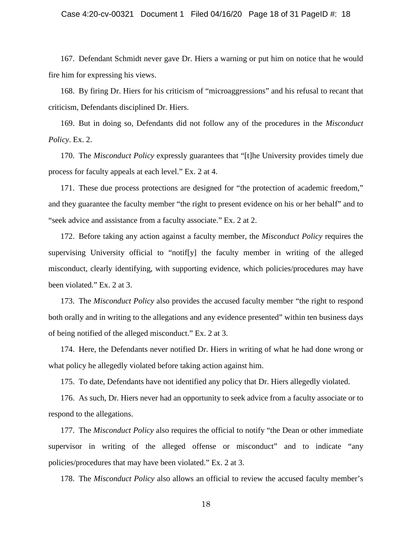## Case 4:20-cv-00321 Document 1 Filed 04/16/20 Page 18 of 31 PageID #: 18

167. Defendant Schmidt never gave Dr. Hiers a warning or put him on notice that he would fire him for expressing his views.

168. By firing Dr. Hiers for his criticism of "microaggressions" and his refusal to recant that criticism, Defendants disciplined Dr. Hiers.

169. But in doing so, Defendants did not follow any of the procedures in the *Misconduct Policy*. Ex. 2.

170. The *Misconduct Policy* expressly guarantees that "[t]he University provides timely due process for faculty appeals at each level." Ex. 2 at 4.

171. These due process protections are designed for "the protection of academic freedom," and they guarantee the faculty member "the right to present evidence on his or her behalf" and to "seek advice and assistance from a faculty associate." Ex. 2 at 2.

172. Before taking any action against a faculty member, the *Misconduct Policy* requires the supervising University official to "notif[y] the faculty member in writing of the alleged misconduct, clearly identifying, with supporting evidence, which policies/procedures may have been violated." Ex. 2 at 3.

173. The *Misconduct Policy* also provides the accused faculty member "the right to respond both orally and in writing to the allegations and any evidence presented" within ten business days of being notified of the alleged misconduct." Ex. 2 at 3.

174. Here, the Defendants never notified Dr. Hiers in writing of what he had done wrong or what policy he allegedly violated before taking action against him.

175. To date, Defendants have not identified any policy that Dr. Hiers allegedly violated.

176. As such, Dr. Hiers never had an opportunity to seek advice from a faculty associate or to respond to the allegations.

177. The *Misconduct Policy* also requires the official to notify "the Dean or other immediate supervisor in writing of the alleged offense or misconduct" and to indicate "any policies/procedures that may have been violated." Ex. 2 at 3.

178. The *Misconduct Policy* also allows an official to review the accused faculty member's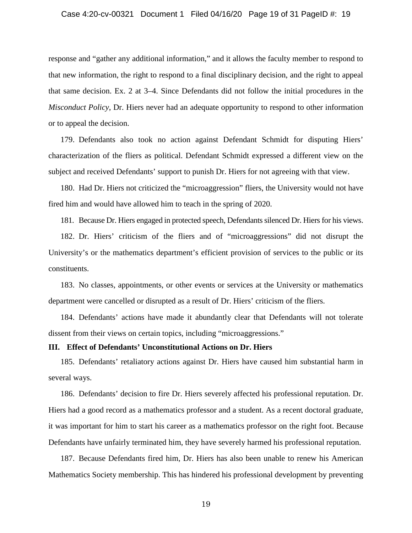response and "gather any additional information," and it allows the faculty member to respond to that new information, the right to respond to a final disciplinary decision, and the right to appeal that same decision. Ex. 2 at 3–4. Since Defendants did not follow the initial procedures in the *Misconduct Policy*, Dr. Hiers never had an adequate opportunity to respond to other information or to appeal the decision.

179. Defendants also took no action against Defendant Schmidt for disputing Hiers' characterization of the fliers as political. Defendant Schmidt expressed a different view on the subject and received Defendants' support to punish Dr. Hiers for not agreeing with that view.

180. Had Dr. Hiers not criticized the "microaggression" fliers, the University would not have fired him and would have allowed him to teach in the spring of 2020.

181. Because Dr. Hiers engaged in protected speech, Defendants silenced Dr. Hiers for his views.

182. Dr. Hiers' criticism of the fliers and of "microaggressions" did not disrupt the University's or the mathematics department's efficient provision of services to the public or its constituents.

183. No classes, appointments, or other events or services at the University or mathematics department were cancelled or disrupted as a result of Dr. Hiers' criticism of the fliers.

184. Defendants' actions have made it abundantly clear that Defendants will not tolerate dissent from their views on certain topics, including "microaggressions."

#### **III. Effect of Defendants' Unconstitutional Actions on Dr. Hiers**

185. Defendants' retaliatory actions against Dr. Hiers have caused him substantial harm in several ways.

186. Defendants' decision to fire Dr. Hiers severely affected his professional reputation. Dr. Hiers had a good record as a mathematics professor and a student. As a recent doctoral graduate, it was important for him to start his career as a mathematics professor on the right foot. Because Defendants have unfairly terminated him, they have severely harmed his professional reputation.

187. Because Defendants fired him, Dr. Hiers has also been unable to renew his American Mathematics Society membership. This has hindered his professional development by preventing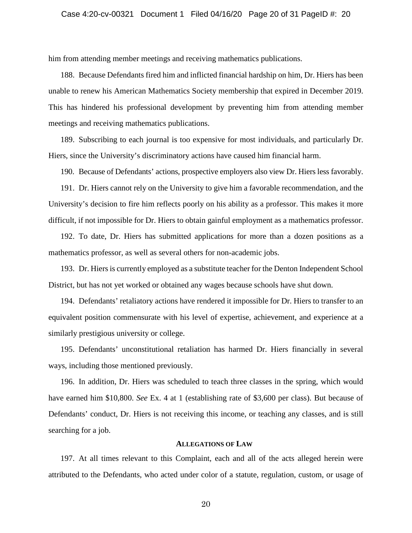him from attending member meetings and receiving mathematics publications.

188. Because Defendants fired him and inflicted financial hardship on him, Dr. Hiers has been unable to renew his American Mathematics Society membership that expired in December 2019. This has hindered his professional development by preventing him from attending member meetings and receiving mathematics publications.

189. Subscribing to each journal is too expensive for most individuals, and particularly Dr. Hiers, since the University's discriminatory actions have caused him financial harm.

190. Because of Defendants' actions, prospective employers also view Dr. Hiers less favorably.

191. Dr. Hiers cannot rely on the University to give him a favorable recommendation, and the University's decision to fire him reflects poorly on his ability as a professor. This makes it more difficult, if not impossible for Dr. Hiers to obtain gainful employment as a mathematics professor.

192. To date, Dr. Hiers has submitted applications for more than a dozen positions as a mathematics professor, as well as several others for non-academic jobs.

193. Dr. Hiers is currently employed as a substitute teacher for the Denton Independent School District, but has not yet worked or obtained any wages because schools have shut down.

194. Defendants' retaliatory actions have rendered it impossible for Dr. Hiers to transfer to an equivalent position commensurate with his level of expertise, achievement, and experience at a similarly prestigious university or college.

195. Defendants' unconstitutional retaliation has harmed Dr. Hiers financially in several ways, including those mentioned previously.

196. In addition, Dr. Hiers was scheduled to teach three classes in the spring, which would have earned him \$10,800. *See* Ex. 4 at 1 (establishing rate of \$3,600 per class). But because of Defendants' conduct, Dr. Hiers is not receiving this income, or teaching any classes, and is still searching for a job.

## **ALLEGATIONS OF LAW**

197. At all times relevant to this Complaint, each and all of the acts alleged herein were attributed to the Defendants, who acted under color of a statute, regulation, custom, or usage of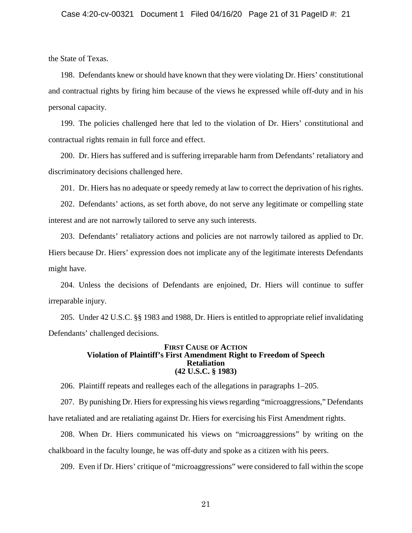the State of Texas.

198. Defendants knew or should have known that they were violating Dr. Hiers' constitutional and contractual rights by firing him because of the views he expressed while off-duty and in his personal capacity.

199. The policies challenged here that led to the violation of Dr. Hiers' constitutional and contractual rights remain in full force and effect.

200. Dr. Hiers has suffered and is suffering irreparable harm from Defendants' retaliatory and discriminatory decisions challenged here.

201. Dr. Hiers has no adequate or speedy remedy at law to correct the deprivation of his rights.

202. Defendants' actions, as set forth above, do not serve any legitimate or compelling state interest and are not narrowly tailored to serve any such interests.

203. Defendants' retaliatory actions and policies are not narrowly tailored as applied to Dr. Hiers because Dr. Hiers' expression does not implicate any of the legitimate interests Defendants might have.

204. Unless the decisions of Defendants are enjoined, Dr. Hiers will continue to suffer irreparable injury.

205. Under 42 U.S.C. §§ 1983 and 1988, Dr. Hiers is entitled to appropriate relief invalidating Defendants' challenged decisions.

#### **FIRST CAUSE OF ACTION Violation of Plaintiff's First Amendment Right to Freedom of Speech Retaliation (42 U.S.C. § 1983)**

206. Plaintiff repeats and realleges each of the allegations in paragraphs 1–205.

207. By punishing Dr. Hiers for expressing his views regarding "microaggressions," Defendants have retaliated and are retaliating against Dr. Hiers for exercising his First Amendment rights.

208. When Dr. Hiers communicated his views on "microaggressions" by writing on the chalkboard in the faculty lounge, he was off-duty and spoke as a citizen with his peers.

209. Even if Dr. Hiers' critique of "microaggressions" were considered to fall within the scope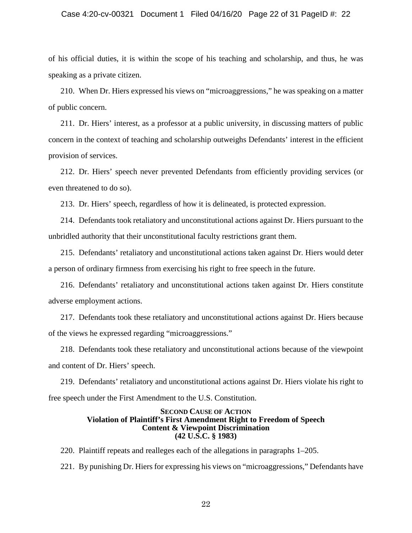## Case 4:20-cv-00321 Document 1 Filed 04/16/20 Page 22 of 31 PageID #: 22

of his official duties, it is within the scope of his teaching and scholarship, and thus, he was speaking as a private citizen.

210. When Dr. Hiers expressed his views on "microaggressions," he was speaking on a matter of public concern.

211. Dr. Hiers' interest, as a professor at a public university, in discussing matters of public concern in the context of teaching and scholarship outweighs Defendants' interest in the efficient provision of services.

212. Dr. Hiers' speech never prevented Defendants from efficiently providing services (or even threatened to do so).

213. Dr. Hiers' speech, regardless of how it is delineated, is protected expression.

214. Defendants took retaliatory and unconstitutional actions against Dr. Hiers pursuant to the unbridled authority that their unconstitutional faculty restrictions grant them.

215. Defendants' retaliatory and unconstitutional actions taken against Dr. Hiers would deter a person of ordinary firmness from exercising his right to free speech in the future.

216. Defendants' retaliatory and unconstitutional actions taken against Dr. Hiers constitute adverse employment actions.

217. Defendants took these retaliatory and unconstitutional actions against Dr. Hiers because of the views he expressed regarding "microaggressions."

218. Defendants took these retaliatory and unconstitutional actions because of the viewpoint and content of Dr. Hiers' speech.

219. Defendants' retaliatory and unconstitutional actions against Dr. Hiers violate his right to free speech under the First Amendment to the U.S. Constitution.

#### **SECOND CAUSE OF ACTION Violation of Plaintiff's First Amendment Right to Freedom of Speech Content & Viewpoint Discrimination (42 U.S.C. § 1983)**

220. Plaintiff repeats and realleges each of the allegations in paragraphs 1–205.

221. By punishing Dr. Hiers for expressing his views on "microaggressions," Defendants have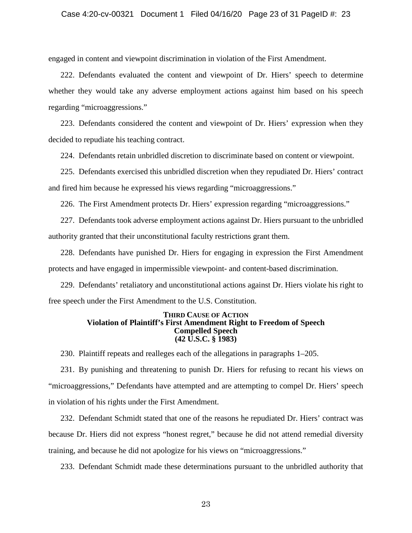engaged in content and viewpoint discrimination in violation of the First Amendment.

222. Defendants evaluated the content and viewpoint of Dr. Hiers' speech to determine whether they would take any adverse employment actions against him based on his speech regarding "microaggressions."

223. Defendants considered the content and viewpoint of Dr. Hiers' expression when they decided to repudiate his teaching contract.

224. Defendants retain unbridled discretion to discriminate based on content or viewpoint.

225. Defendants exercised this unbridled discretion when they repudiated Dr. Hiers' contract and fired him because he expressed his views regarding "microaggressions."

226. The First Amendment protects Dr. Hiers' expression regarding "microaggressions."

227. Defendants took adverse employment actions against Dr. Hiers pursuant to the unbridled authority granted that their unconstitutional faculty restrictions grant them.

228. Defendants have punished Dr. Hiers for engaging in expression the First Amendment protects and have engaged in impermissible viewpoint- and content-based discrimination.

229. Defendants' retaliatory and unconstitutional actions against Dr. Hiers violate his right to free speech under the First Amendment to the U.S. Constitution.

#### **THIRD CAUSE OF ACTION Violation of Plaintiff's First Amendment Right to Freedom of Speech Compelled Speech (42 U.S.C. § 1983)**

230. Plaintiff repeats and realleges each of the allegations in paragraphs 1–205.

231. By punishing and threatening to punish Dr. Hiers for refusing to recant his views on "microaggressions," Defendants have attempted and are attempting to compel Dr. Hiers' speech in violation of his rights under the First Amendment.

232. Defendant Schmidt stated that one of the reasons he repudiated Dr. Hiers' contract was because Dr. Hiers did not express "honest regret," because he did not attend remedial diversity training, and because he did not apologize for his views on "microaggressions."

233. Defendant Schmidt made these determinations pursuant to the unbridled authority that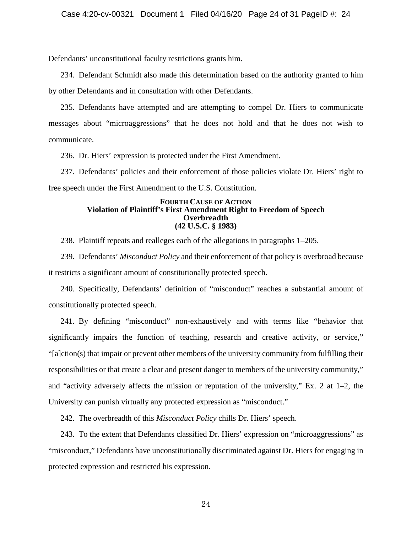Defendants' unconstitutional faculty restrictions grants him.

234. Defendant Schmidt also made this determination based on the authority granted to him by other Defendants and in consultation with other Defendants.

235. Defendants have attempted and are attempting to compel Dr. Hiers to communicate messages about "microaggressions" that he does not hold and that he does not wish to communicate.

236. Dr. Hiers' expression is protected under the First Amendment.

237. Defendants' policies and their enforcement of those policies violate Dr. Hiers' right to free speech under the First Amendment to the U.S. Constitution.

### **FOURTH CAUSE OF ACTION Violation of Plaintiff's First Amendment Right to Freedom of Speech Overbreadth (42 U.S.C. § 1983)**

238. Plaintiff repeats and realleges each of the allegations in paragraphs 1–205.

239. Defendants' *Misconduct Policy* and their enforcement of that policy is overbroad because it restricts a significant amount of constitutionally protected speech.

240. Specifically, Defendants' definition of "misconduct" reaches a substantial amount of constitutionally protected speech.

241. By defining "misconduct" non-exhaustively and with terms like "behavior that significantly impairs the function of teaching, research and creative activity, or service," "[a]ction(s) that impair or prevent other members of the university community from fulfilling their responsibilities or that create a clear and present danger to members of the university community," and "activity adversely affects the mission or reputation of the university," Ex. 2 at 1–2, the University can punish virtually any protected expression as "misconduct."

242. The overbreadth of this *Misconduct Policy* chills Dr. Hiers' speech.

243. To the extent that Defendants classified Dr. Hiers' expression on "microaggressions" as "misconduct," Defendants have unconstitutionally discriminated against Dr. Hiers for engaging in protected expression and restricted his expression.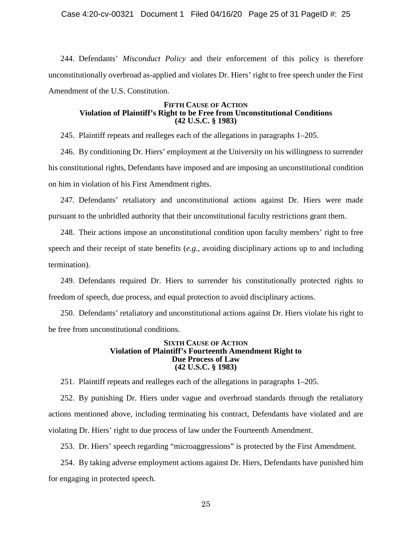244. Defendants' *Misconduct Policy* and their enforcement of this policy is therefore unconstitutionally overbroad as-applied and violates Dr. Hiers' right to free speech under the First Amendment of the U.S. Constitution.

### **FIFTH CAUSE OF ACTION Violation of Plaintiff's Right to be Free from Unconstitutional Conditions (42 U.S.C. § 1983)**

245. Plaintiff repeats and realleges each of the allegations in paragraphs 1–205.

246. By conditioning Dr. Hiers' employment at the University on his willingness to surrender his constitutional rights, Defendants have imposed and are imposing an unconstitutional condition on him in violation of his First Amendment rights.

247. Defendants' retaliatory and unconstitutional actions against Dr. Hiers were made pursuant to the unbridled authority that their unconstitutional faculty restrictions grant them.

248. Their actions impose an unconstitutional condition upon faculty members' right to free speech and their receipt of state benefits (*e.g.*, avoiding disciplinary actions up to and including termination).

249. Defendants required Dr. Hiers to surrender his constitutionally protected rights to freedom of speech, due process, and equal protection to avoid disciplinary actions.

250. Defendants' retaliatory and unconstitutional actions against Dr. Hiers violate his right to be free from unconstitutional conditions.

### **SIXTH CAUSE OF ACTION Violation of Plaintiff's Fourteenth Amendment Right to Due Process of Law (42 U.S.C. § 1983)**

251. Plaintiff repeats and realleges each of the allegations in paragraphs 1–205.

252. By punishing Dr. Hiers under vague and overbroad standards through the retaliatory actions mentioned above, including terminating his contract, Defendants have violated and are violating Dr. Hiers' right to due process of law under the Fourteenth Amendment.

253. Dr. Hiers' speech regarding "microaggressions" is protected by the First Amendment.

254. By taking adverse employment actions against Dr. Hiers, Defendants have punished him for engaging in protected speech.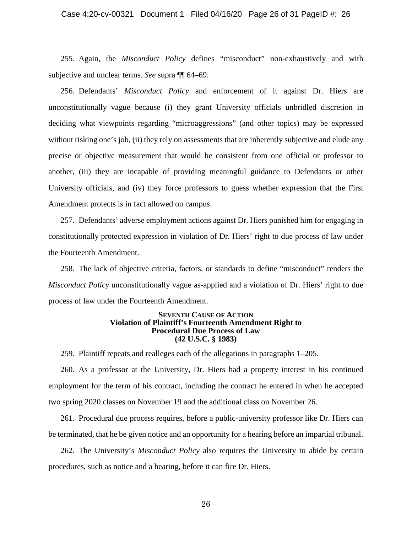## Case 4:20-cv-00321 Document 1 Filed 04/16/20 Page 26 of 31 PageID #: 26

255. Again, the *Misconduct Policy* defines "misconduct" non-exhaustively and with subjective and unclear terms. *See* supra ¶¶ 64–69.

256. Defendants' *Misconduct Policy* and enforcement of it against Dr. Hiers are unconstitutionally vague because (i) they grant University officials unbridled discretion in deciding what viewpoints regarding "microaggressions" (and other topics) may be expressed without risking one's job, (ii) they rely on assessments that are inherently subjective and elude any precise or objective measurement that would be consistent from one official or professor to another, (iii) they are incapable of providing meaningful guidance to Defendants or other University officials, and (iv) they force professors to guess whether expression that the First Amendment protects is in fact allowed on campus.

257. Defendants' adverse employment actions against Dr. Hiers punished him for engaging in constitutionally protected expression in violation of Dr. Hiers' right to due process of law under the Fourteenth Amendment.

258. The lack of objective criteria, factors, or standards to define "misconduct" renders the *Misconduct Policy* unconstitutionally vague as-applied and a violation of Dr. Hiers' right to due process of law under the Fourteenth Amendment.

#### **SEVENTH CAUSE OF ACTION Violation of Plaintiff's Fourteenth Amendment Right to Procedural Due Process of Law (42 U.S.C. § 1983)**

259. Plaintiff repeats and realleges each of the allegations in paragraphs 1–205.

260. As a professor at the University, Dr. Hiers had a property interest in his continued employment for the term of his contract, including the contract he entered in when he accepted two spring 2020 classes on November 19 and the additional class on November 26.

261. Procedural due process requires, before a public-university professor like Dr. Hiers can be terminated, that he be given notice and an opportunity for a hearing before an impartial tribunal.

262. The University's *Misconduct Policy* also requires the University to abide by certain procedures, such as notice and a hearing, before it can fire Dr. Hiers.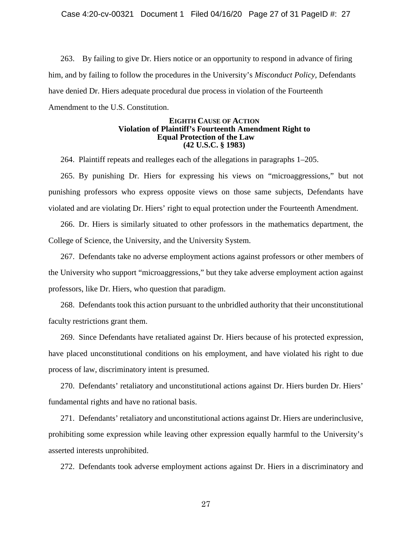263. By failing to give Dr. Hiers notice or an opportunity to respond in advance of firing him, and by failing to follow the procedures in the University's *Misconduct Policy*, Defendants have denied Dr. Hiers adequate procedural due process in violation of the Fourteenth Amendment to the U.S. Constitution.

## **EIGHTH CAUSE OF ACTION Violation of Plaintiff's Fourteenth Amendment Right to Equal Protection of the Law (42 U.S.C. § 1983)**

264. Plaintiff repeats and realleges each of the allegations in paragraphs 1–205.

265. By punishing Dr. Hiers for expressing his views on "microaggressions," but not punishing professors who express opposite views on those same subjects, Defendants have violated and are violating Dr. Hiers' right to equal protection under the Fourteenth Amendment.

266. Dr. Hiers is similarly situated to other professors in the mathematics department, the College of Science, the University, and the University System.

267. Defendants take no adverse employment actions against professors or other members of the University who support "microaggressions," but they take adverse employment action against professors, like Dr. Hiers, who question that paradigm.

268. Defendants took this action pursuant to the unbridled authority that their unconstitutional faculty restrictions grant them.

269. Since Defendants have retaliated against Dr. Hiers because of his protected expression, have placed unconstitutional conditions on his employment, and have violated his right to due process of law, discriminatory intent is presumed.

270. Defendants' retaliatory and unconstitutional actions against Dr. Hiers burden Dr. Hiers' fundamental rights and have no rational basis.

271. Defendants' retaliatory and unconstitutional actions against Dr. Hiers are underinclusive, prohibiting some expression while leaving other expression equally harmful to the University's asserted interests unprohibited.

272. Defendants took adverse employment actions against Dr. Hiers in a discriminatory and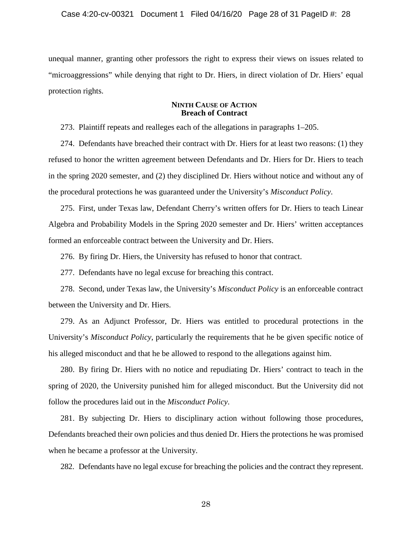unequal manner, granting other professors the right to express their views on issues related to "microaggressions" while denying that right to Dr. Hiers, in direct violation of Dr. Hiers' equal protection rights.

## **NINTH CAUSE OF ACTION Breach of Contract**

273. Plaintiff repeats and realleges each of the allegations in paragraphs 1–205.

274. Defendants have breached their contract with Dr. Hiers for at least two reasons: (1) they refused to honor the written agreement between Defendants and Dr. Hiers for Dr. Hiers to teach in the spring 2020 semester, and (2) they disciplined Dr. Hiers without notice and without any of the procedural protections he was guaranteed under the University's *Misconduct Policy*.

275. First, under Texas law, Defendant Cherry's written offers for Dr. Hiers to teach Linear Algebra and Probability Models in the Spring 2020 semester and Dr. Hiers' written acceptances formed an enforceable contract between the University and Dr. Hiers.

276. By firing Dr. Hiers, the University has refused to honor that contract.

277. Defendants have no legal excuse for breaching this contract.

278. Second, under Texas law, the University's *Misconduct Policy* is an enforceable contract between the University and Dr. Hiers.

279. As an Adjunct Professor, Dr. Hiers was entitled to procedural protections in the University's *Misconduct Policy*, particularly the requirements that he be given specific notice of his alleged misconduct and that he be allowed to respond to the allegations against him.

280. By firing Dr. Hiers with no notice and repudiating Dr. Hiers' contract to teach in the spring of 2020, the University punished him for alleged misconduct. But the University did not follow the procedures laid out in the *Misconduct Policy*.

281. By subjecting Dr. Hiers to disciplinary action without following those procedures, Defendants breached their own policies and thus denied Dr. Hiers the protections he was promised when he became a professor at the University.

282. Defendants have no legal excuse for breaching the policies and the contract they represent.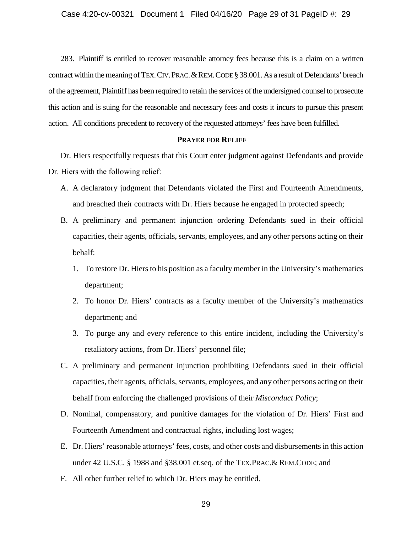283. Plaintiff is entitled to recover reasonable attorney fees because this is a claim on a written contract within the meaning of TEX. CIV. PRAC. & REM. CODE § 38.001. As a result of Defendants' breach of the agreement, Plaintiff has been required to retain the services of the undersigned counsel to prosecute this action and is suing for the reasonable and necessary fees and costs it incurs to pursue this present action. All conditions precedent to recovery of the requested attorneys' fees have been fulfilled.

### **PRAYER FOR RELIEF**

Dr. Hiers respectfully requests that this Court enter judgment against Defendants and provide Dr. Hiers with the following relief:

- A. A declaratory judgment that Defendants violated the First and Fourteenth Amendments, and breached their contracts with Dr. Hiers because he engaged in protected speech;
- B. A preliminary and permanent injunction ordering Defendants sued in their official capacities, their agents, officials, servants, employees, and any other persons acting on their behalf:
	- 1. To restore Dr. Hiers to his position as a faculty member in the University's mathematics department;
	- 2. To honor Dr. Hiers' contracts as a faculty member of the University's mathematics department; and
	- 3. To purge any and every reference to this entire incident, including the University's retaliatory actions, from Dr. Hiers' personnel file;
- C. A preliminary and permanent injunction prohibiting Defendants sued in their official capacities, their agents, officials, servants, employees, and any other persons acting on their behalf from enforcing the challenged provisions of their *Misconduct Policy*;
- D. Nominal, compensatory, and punitive damages for the violation of Dr. Hiers' First and Fourteenth Amendment and contractual rights, including lost wages;
- E. Dr. Hiers' reasonable attorneys' fees, costs, and other costs and disbursements in this action under 42 U.S.C. § 1988 and §38.001 et.seq. of the TEX.PRAC.& REM.CODE; and
- F. All other further relief to which Dr. Hiers may be entitled.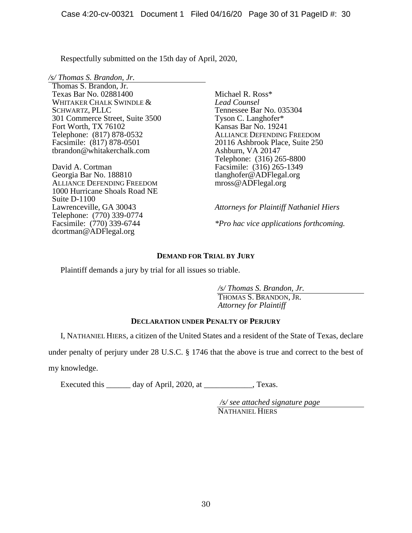Respectfully submitted on the 15th day of April, 2020,

*/s/ Thomas S. Brandon, Jr.* Thomas S. Brandon, Jr. Texas Bar No. 02881400 WHITAKER CHALK SWINDLE & SCHWARTZ, PLLC 301 Commerce Street, Suite 3500 Fort Worth, TX 76102 Telephone: (817) 878-0532 Facsimile: (817) 878-0501 tbrandon@whitakerchalk.com

David A. Cortman Georgia Bar No. 188810 ALLIANCE DEFENDING FREEDOM 1000 Hurricane Shoals Road NE Suite D-1100 Lawrenceville, GA 30043 Telephone: (770) 339-0774 Facsimile: (770) 339-6744 dcortman@ADFlegal.org

Michael R. Ross\* *Lead Counsel* Tennessee Bar No. 035304 Tyson C. Langhofer\* Kansas Bar No. 19241 ALLIANCE DEFENDING FREEDOM 20116 Ashbrook Place, Suite 250 Ashburn, VA 20147 Telephone: (316) 265-8800 Facsimile: (316) 265-1349 tlanghofer@ADFlegal.org mross@ADFlegal.org

*Attorneys for Plaintiff Nathaniel Hiers \*Pro hac vice applications forthcoming.*

# **DEMAND FOR TRIAL BY JURY**

Plaintiff demands a jury by trial for all issues so triable.

*/s/ Thomas S. Brandon, Jr.*

THOMAS S. BRANDON, JR. *Attorney for Plaintiff*

# **DECLARATION UNDER PENALTY OF PERJURY**

I, NATHANIEL HIERS, a citizen of the United States and a resident of the State of Texas, declare

under penalty of perjury under 28 U.S.C. § 1746 that the above is true and correct to the best of

my knowledge.

Executed this \_\_\_\_\_\_\_ day of April, 2020, at \_\_\_\_\_\_\_\_\_\_\_\_, Texas.

*/s/ see attached signature page* NATHANIEL HIERS